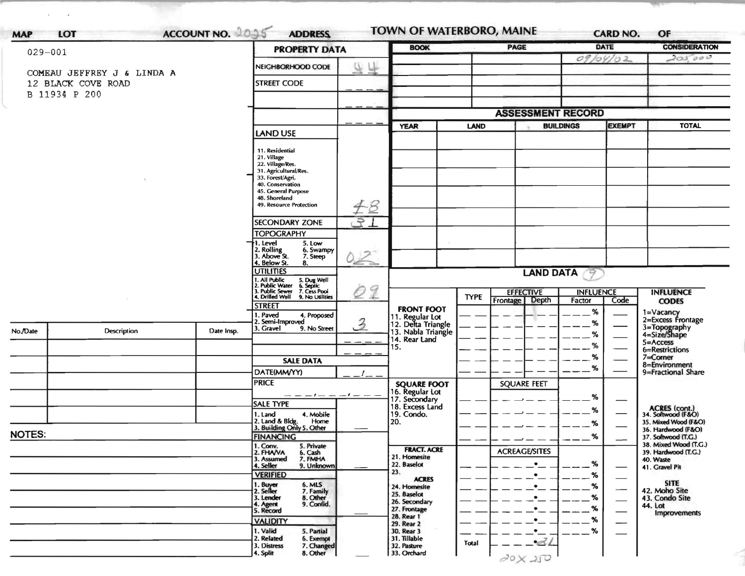| ACCOUNT NO. 2095<br>LOT<br><b>MAP</b> |                            |            | <b>ADDRESS</b><br><b>PROPERTY DATA</b>                                                          |     | <b>BOOK</b>                                            |             | PAGE                               | <b>DATE</b>                |                             | <b>CONSIDERATION</b>                         |
|---------------------------------------|----------------------------|------------|-------------------------------------------------------------------------------------------------|-----|--------------------------------------------------------|-------------|------------------------------------|----------------------------|-----------------------------|----------------------------------------------|
| $029 - 001$                           |                            |            |                                                                                                 |     |                                                        |             | 09/04/02                           |                            | 205,000                     |                                              |
|                                       | COMEAU JEFFREY J & LINDA A |            | NEIGHBORHOOD CODE                                                                               | 9 F |                                                        |             |                                    |                            |                             |                                              |
|                                       | 12 BLACK COVE ROAD         |            | <b>STREET CODE</b>                                                                              |     |                                                        |             |                                    |                            |                             |                                              |
|                                       | B 11934 P 200              |            |                                                                                                 |     |                                                        |             |                                    |                            |                             |                                              |
|                                       |                            |            |                                                                                                 |     |                                                        |             | <b>ASSESSMENT RECORD</b>           |                            |                             |                                              |
|                                       |                            |            |                                                                                                 |     | <b>YEAR</b>                                            | <b>LAND</b> | <b>BUILDINGS</b>                   |                            | <b>EXEMPT</b>               | <b>TOTAL</b>                                 |
|                                       |                            |            | LAND USE                                                                                        |     |                                                        |             |                                    |                            |                             |                                              |
|                                       |                            |            | 11. Residential<br>21. Village                                                                  |     |                                                        |             |                                    |                            |                             |                                              |
|                                       |                            |            | 22. Village/Res.<br>31. Agricultural/Res.                                                       |     |                                                        |             |                                    |                            |                             |                                              |
|                                       |                            |            | 33. Forest/Agri.<br>40. Conservation                                                            |     |                                                        |             |                                    |                            |                             |                                              |
|                                       |                            |            | 45. General Purpose                                                                             |     |                                                        |             |                                    |                            |                             |                                              |
|                                       |                            |            | 48. Shoreland<br>49. Resource Protection                                                        | #8  |                                                        |             |                                    |                            |                             |                                              |
|                                       |                            |            | <b>SECONDARY ZONE</b>                                                                           | 91  |                                                        |             |                                    |                            |                             |                                              |
|                                       |                            |            | <b>TOPOGRAPHY</b>                                                                               |     |                                                        |             |                                    |                            |                             |                                              |
|                                       |                            |            | I. Level<br>5. Low<br>6. Swampy                                                                 |     |                                                        |             |                                    |                            |                             |                                              |
|                                       |                            |            | 2. Rolling<br>3. Above St.<br>7. Steep<br>4. Below St.                                          | 02  |                                                        |             |                                    |                            |                             |                                              |
|                                       |                            |            | 8.<br><b>UTILITIES</b>                                                                          |     |                                                        |             | <b>LAND DATA</b>                   | -9                         |                             |                                              |
|                                       |                            |            | 1, All Public<br>2. Public Water<br>3. Public Sewer<br>5. Dug Well<br>6. Septic<br>7. Cess Pool | 09  |                                                        |             |                                    |                            |                             |                                              |
|                                       |                            |            | 4. Drilled Well<br>9. No Utilities                                                              |     |                                                        | <b>TYPE</b> | <b>EFFECTIVE</b><br>Frontage Depth | <b>INFLUENCE</b><br>Factor | Code                        | <b>INFLUENCE</b><br><b>CODES</b>             |
|                                       |                            |            | <b>STREET</b><br>. Paved<br>4. Proposed                                                         |     | <b>FRONT FOOT</b>                                      |             |                                    | %                          |                             |                                              |
|                                       | Description                | Date Insp. | Semi-Improved<br>3. Gravel<br>9. No Street                                                      | 3   | 11. Regular Lot<br>12. Delta Triangle                  |             |                                    | %                          |                             | 1=Vacancy<br>2=Excess Frontage               |
| No./Date                              |                            |            |                                                                                                 |     | 13. Nabla Triangle<br>14. Rear Land                    |             |                                    | %                          | $5 =$ Access                | 3=Topography<br>4=Size/Shape                 |
|                                       |                            |            |                                                                                                 |     | 15.                                                    |             |                                    | %                          |                             | 6=Restrictions                               |
|                                       |                            |            | <b>SALE DATA</b>                                                                                |     |                                                        |             |                                    | %<br>%                     | $7 =$ Corner                | 8=Environment                                |
|                                       |                            |            | DATE(MM/YY)                                                                                     |     |                                                        |             |                                    |                            |                             | 9=Fractional Share                           |
|                                       |                            |            | <b>PRICE</b><br>$-1-$                                                                           |     | <b>SQUARE FOOT</b><br>16. Regular Lot<br>17. Secondary |             | <b>SQUARE FEET</b>                 |                            |                             |                                              |
|                                       |                            |            | $- - - -$<br><b>SALE TYPE</b>                                                                   |     | 18. Excess Land                                        |             |                                    | %                          |                             |                                              |
|                                       |                            |            | 4. Mobile<br>1. Land<br>Home                                                                    |     | 19. Condo.<br>20.                                      |             |                                    | %                          |                             | ACRES (cont.)<br>34. Softwood (F&O)          |
| <b>NOTES:</b>                         |                            |            | 2. Land & Bldg. Home<br>3. Building Only 5. Other                                               |     |                                                        |             |                                    | %                          |                             | 35. Mixed Wood (F&O)<br>36. Hardwood (F&O)   |
|                                       |                            |            | <b>FINANCING</b><br>1. Conv. 5. Private                                                         |     |                                                        |             |                                    | %                          |                             | 37. Softwood (T.G.)<br>38. Mixed Wood (T.G.) |
|                                       |                            |            | 2. FHAVA<br>6. Cash<br>3. Assumed<br>7. FMHA                                                    |     | <b>FRACT. ACRE</b><br>21. Homesite                     |             | <b>ACREAGE/SITES</b>               |                            | 40. Waste                   | 39. Hardwood (T.G.)                          |
|                                       |                            |            | 9. Unknown<br>4. Seller<br><b>VERIFIED</b>                                                      |     | 22. Baselot<br>23.                                     |             | $\bullet$<br>$\bullet$             | %                          | $\overbrace{\hspace{15em}}$ | 41. Gravel Pit                               |
|                                       |                            |            | 6. MLS                                                                                          |     | <b>ACRES</b><br>24. Homesite                           |             |                                    | %<br>$\%$                  |                             | <b>SITE</b>                                  |
|                                       |                            |            | 1. Buyer<br>2. Seller<br>7. Family<br>8. Other<br>3. Lender                                     |     | 25. Baselot                                            |             |                                    |                            | $\overbrace{\hspace{15em}}$ | 42. Moho Site<br>43. Condo Site              |
|                                       |                            |            | 9. Confid.<br>4. Agent<br>5. Record                                                             |     | 26. Secondary<br>27. Frontage                          |             |                                    |                            | 44. Lot                     | <b>Improvements</b>                          |
|                                       |                            |            | <b>VALIDITY</b>                                                                                 |     | 28. Rear 1<br>29. Rear 2                               |             |                                    |                            |                             |                                              |
|                                       |                            |            | 1. Valid<br>5. Partial<br>2. Related<br>6. Exempt                                               |     | 30. Rear 3<br>31. Tillable                             |             | $\bullet$                          | %                          |                             |                                              |
|                                       |                            |            | 7. Changed<br>3. Distress<br>8. Other<br>4. Split                                               |     | 32. Pasture<br>33. Orchard                             | Total       | $-2l$                              |                            |                             |                                              |
|                                       |                            |            |                                                                                                 |     |                                                        |             | 20X250                             |                            |                             |                                              |

 $\hat{\mathbf{j}}$  ,  $\hat{\mathbf{j}}$